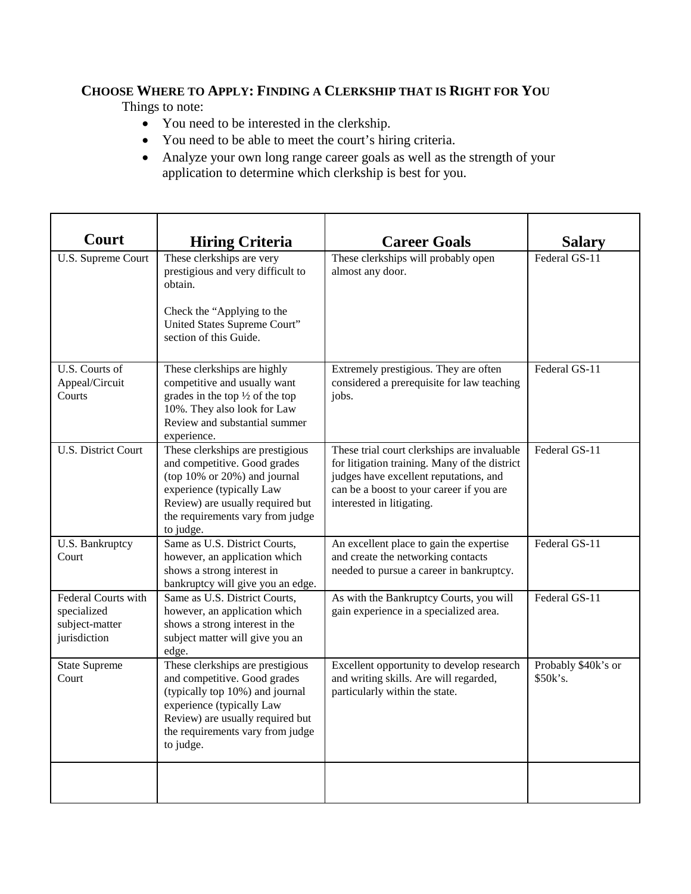# **CHOOSE WHERE TO APPLY: FINDING A CLERKSHIP THAT IS RIGHT FOR YOU**

Things to note:

- You need to be interested in the clerkship.
- You need to be able to meet the court's hiring criteria.
- Analyze your own long range career goals as well as the strength of your application to determine which clerkship is best for you.

| Court                                                                       | <b>Hiring Criteria</b>                                                                                                                                                                                                    | <b>Career Goals</b>                                                                                                                                                                                             | <b>Salary</b>                   |
|-----------------------------------------------------------------------------|---------------------------------------------------------------------------------------------------------------------------------------------------------------------------------------------------------------------------|-----------------------------------------------------------------------------------------------------------------------------------------------------------------------------------------------------------------|---------------------------------|
| U.S. Supreme Court                                                          | These clerkships are very<br>prestigious and very difficult to<br>obtain.<br>Check the "Applying to the<br>United States Supreme Court"<br>section of this Guide.                                                         | These clerkships will probably open<br>almost any door.                                                                                                                                                         | Federal GS-11                   |
| U.S. Courts of<br>Appeal/Circuit<br>Courts                                  | These clerkships are highly<br>competitive and usually want<br>grades in the top $\frac{1}{2}$ of the top<br>10%. They also look for Law<br>Review and substantial summer<br>experience.                                  | Extremely prestigious. They are often<br>considered a prerequisite for law teaching<br>jobs.                                                                                                                    | Federal GS-11                   |
| <b>U.S. District Court</b>                                                  | These clerkships are prestigious<br>and competitive. Good grades<br>(top $10\%$ or $20\%$ ) and journal<br>experience (typically Law<br>Review) are usually required but<br>the requirements vary from judge<br>to judge. | These trial court clerkships are invaluable<br>for litigation training. Many of the district<br>judges have excellent reputations, and<br>can be a boost to your career if you are<br>interested in litigating. | Federal GS-11                   |
| U.S. Bankruptcy<br>Court                                                    | Same as U.S. District Courts,<br>however, an application which<br>shows a strong interest in<br>bankruptcy will give you an edge.                                                                                         | An excellent place to gain the expertise<br>and create the networking contacts<br>needed to pursue a career in bankruptcy.                                                                                      | Federal GS-11                   |
| <b>Federal Courts with</b><br>specialized<br>subject-matter<br>jurisdiction | Same as U.S. District Courts,<br>however, an application which<br>shows a strong interest in the<br>subject matter will give you an<br>edge.                                                                              | As with the Bankruptcy Courts, you will<br>gain experience in a specialized area.                                                                                                                               | Federal GS-11                   |
| <b>State Supreme</b><br>Court                                               | These clerkships are prestigious<br>and competitive. Good grades<br>(typically top 10%) and journal<br>experience (typically Law<br>Review) are usually required but<br>the requirements vary from judge<br>to judge.     | Excellent opportunity to develop research<br>and writing skills. Are will regarded,<br>particularly within the state.                                                                                           | Probably \$40k's or<br>\$50k's. |
|                                                                             |                                                                                                                                                                                                                           |                                                                                                                                                                                                                 |                                 |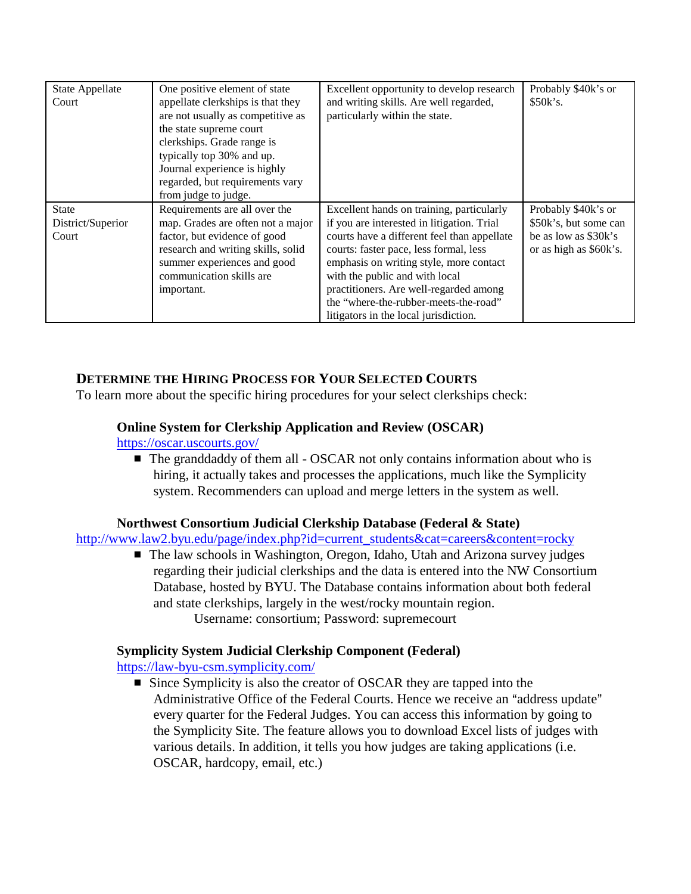| <b>State Appellate</b> | One positive element of state      | Excellent opportunity to develop research   | Probably \$40k's or    |
|------------------------|------------------------------------|---------------------------------------------|------------------------|
| Court                  | appellate clerkships is that they  | and writing skills. Are well regarded,      | \$50k's.               |
|                        | are not usually as competitive as  | particularly within the state.              |                        |
|                        | the state supreme court            |                                             |                        |
|                        | clerkships. Grade range is         |                                             |                        |
|                        | typically top 30% and up.          |                                             |                        |
|                        | Journal experience is highly       |                                             |                        |
|                        | regarded, but requirements vary    |                                             |                        |
|                        | from judge to judge.               |                                             |                        |
| <b>State</b>           | Requirements are all over the      | Excellent hands on training, particularly   | Probably \$40k's or    |
| District/Superior      | map. Grades are often not a major  | if you are interested in litigation. Trial  | \$50k's, but some can  |
| Court                  | factor, but evidence of good       | courts have a different feel than appellate | be as low as \$30k's   |
|                        | research and writing skills, solid | courts: faster pace, less formal, less      | or as high as \$60k's. |
|                        | summer experiences and good        | emphasis on writing style, more contact     |                        |
|                        | communication skills are           | with the public and with local              |                        |
|                        | important.                         | practitioners. Are well-regarded among      |                        |
|                        |                                    | the "where-the-rubber-meets-the-road"       |                        |
|                        |                                    | litigators in the local jurisdiction.       |                        |

## **DETERMINE THE HIRING PROCESS FOR YOUR SELECTED COURTS**

To learn more about the specific hiring procedures for your select clerkships check:

#### **Online System for Clerkship Application and Review (OSCAR)**

<https://oscar.uscourts.gov/>

■ The granddaddy of them all - OSCAR not only contains information about who is hiring, it actually takes and processes the applications, much like the Symplicity system. Recommenders can upload and merge letters in the system as well.

#### **Northwest Consortium Judicial Clerkship Database (Federal & State)**

[http://www.law2.byu.edu/page/index.php?id=current\\_students&cat=careers&content=rocky](http://www.law2.byu.edu/page/index.php?id=current_students&cat=careers&content=rocky)

■ The law schools in Washington, Oregon, Idaho, Utah and Arizona survey judges regarding their judicial clerkships and the data is entered into the NW Consortium Database, hosted by BYU. The Database contains information about both federal and state clerkships, largely in the west/rocky mountain region. Username: consortium; Password: supremecourt

### **Symplicity System Judicial Clerkship Component (Federal)**

[https://law-byu-csm.symplicity.com/](https://lawbyucsm.symplicity.com/)

**Example Symplicity is also the creator of OSCAR they are tapped into the** Administrative Office of the Federal Courts. Hence we receive an "address update" every quarter for the Federal Judges. You can access this information by going to the Symplicity Site. The feature allows you to download Excel lists of judges with various details. In addition, it tells you how judges are taking applications (i.e. OSCAR, hardcopy, email, etc.)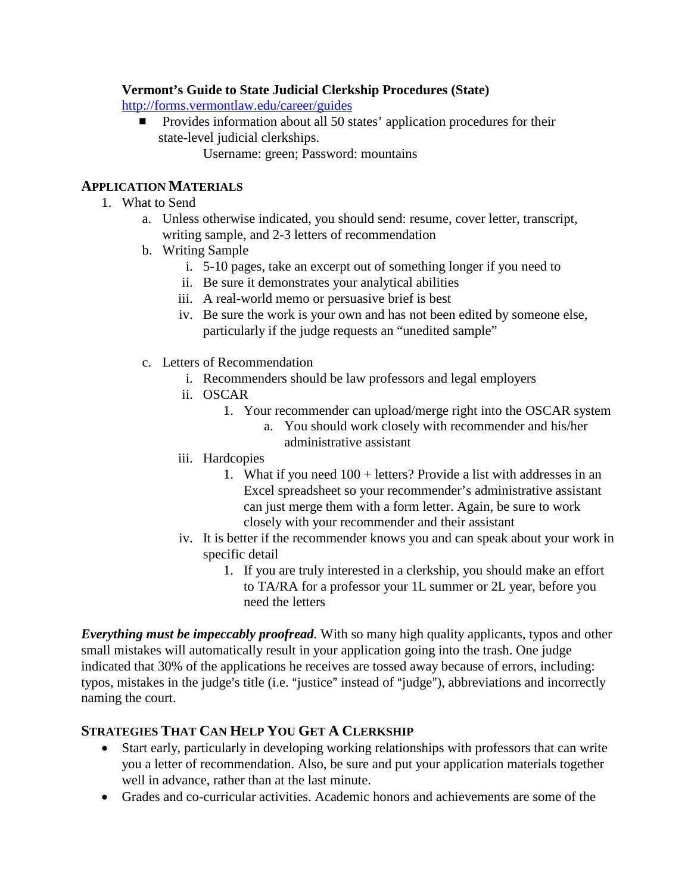#### **Vermont's Guide to State Judicial Clerkship Procedures (State)**

<http://forms.vermontlaw.edu/career/guides>

- $\blacksquare$  Provides information about all 50 states' application procedures for their state-level judicial clerkships.
	- Username: green; Password: mountains

## **APPLICATION MATERIALS**

- 1. What to Send
	- a. Unless otherwise indicated, you should send: resume, cover letter, transcript, writing sample, and 2-3 letters of recommendation
	- b. Writing Sample
		- i. 5-10 pages, take an excerpt out of something longer if you need to
		- ii. Be sure it demonstrates your analytical abilities
		- iii. A real-world memo or persuasive brief is best
		- iv. Be sure the work is your own and has not been edited by someone else, particularly if the judge requests an "unedited sample"
	- c. Letters of Recommendation
		- i. Recommenders should be law professors and legal employers
		- ii. OSCAR
			- 1. Your recommender can upload/merge right into the OSCAR system
				- a. You should work closely with recommender and his/her administrative assistant
		- iii. Hardcopies
			- 1. What if you need 100 + letters? Provide a list with addresses in an Excel spreadsheet so your recommender's administrative assistant can just merge them with a form letter. Again, be sure to work closely with your recommender and their assistant
		- iv. It is better if the recommender knows you and can speak about your work in specific detail
			- 1. If you are truly interested in a clerkship, you should make an effort to TA/RA for a professor your 1L summer or 2L year, before you need the letters

*Everything must be impeccably proofread.* With so many high quality applicants, typos and other small mistakes will automatically result in your application going into the trash. One judge indicated that 30% of the applications he receives are tossed away because of errors, including: typos, mistakes in the judge's title (i.e. "justice" instead of "judge"), abbreviations and incorrectly naming the court.

# **STRATEGIES THAT CAN HELP YOU GET A CLERKSHIP**

- Start early, particularly in developing working relationships with professors that can write you a letter of recommendation. Also, be sure and put your application materials together well in advance, rather than at the last minute.
- Grades and co-curricular activities. Academic honors and achievements are some of the